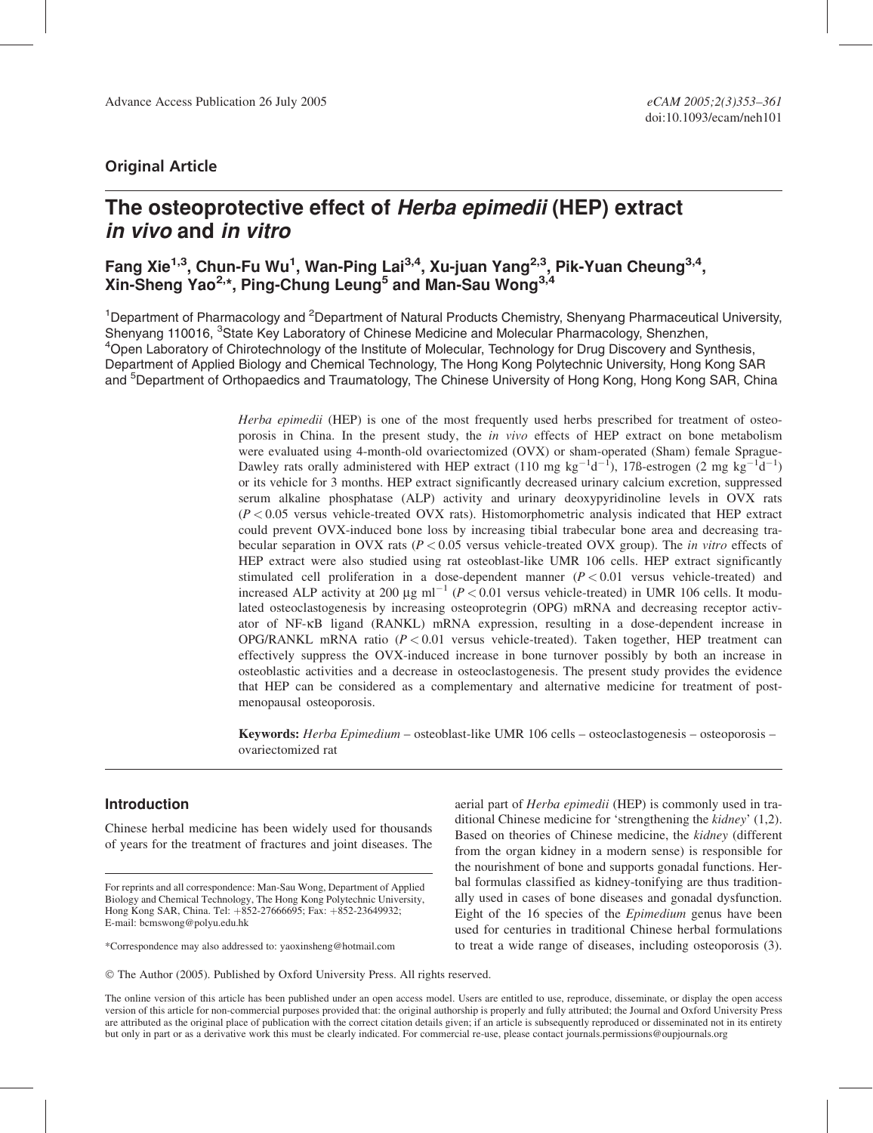## Original Article

# The osteoprotective effect of Herba epimedii (HEP) extract in vivo and in vitro

## Fang Xie<sup>1,3</sup>, Chun-Fu Wu<sup>1</sup>, Wan-Ping Lai<sup>3,4</sup>, Xu-juan Yang<sup>2,3</sup>, Pik-Yuan Cheung<sup>3,4</sup>, Xin-Sheng Yao<sup>2,\*</sup>, Ping-Chung Leung<sup>5</sup> and Man-Sau Wong<sup>3,4</sup>

<sup>1</sup>Department of Pharmacology and <sup>2</sup>Department of Natural Products Chemistry, Shenyang Pharmaceutical University, Shenyang 110016, <sup>3</sup>State Key Laboratory of Chinese Medicine and Molecular Pharmacology, Shenzhen, <sup>4</sup>Open Laboratory of Chirotechnology of the Institute of Molecular, Technology for Drug Discovery and Synthesis, Department of Applied Biology and Chemical Technology, The Hong Kong Polytechnic University, Hong Kong SAR and <sup>5</sup>Department of Orthopaedics and Traumatology, The Chinese University of Hong Kong, Hong Kong SAR, China

> Herba epimedii (HEP) is one of the most frequently used herbs prescribed for treatment of osteoporosis in China. In the present study, the in vivo effects of HEP extract on bone metabolism were evaluated using 4-month-old ovariectomized (OVX) or sham-operated (Sham) female Sprague-Dawley rats orally administered with HEP extract (110 mg kg<sup>-1</sup>d<sup>-1</sup>), 17ß-estrogen (2 mg kg<sup>-1</sup>d<sup>-1</sup>) or its vehicle for 3 months. HEP extract significantly decreased urinary calcium excretion, suppressed serum alkaline phosphatase (ALP) activity and urinary deoxypyridinoline levels in OVX rats  $(P < 0.05$  versus vehicle-treated OVX rats). Histomorphometric analysis indicated that HEP extract could prevent OVX-induced bone loss by increasing tibial trabecular bone area and decreasing trabecular separation in OVX rats ( $P < 0.05$  versus vehicle-treated OVX group). The in vitro effects of HEP extract were also studied using rat osteoblast-like UMR 106 cells. HEP extract significantly stimulated cell proliferation in a dose-dependent manner  $(P < 0.01$  versus vehicle-treated) and increased ALP activity at 200  $\mu$ g ml<sup>-1</sup> (P < 0.01 versus vehicle-treated) in UMR 106 cells. It modulated osteoclastogenesis by increasing osteoprotegrin (OPG) mRNA and decreasing receptor activator of NF-kB ligand (RANKL) mRNA expression, resulting in a dose-dependent increase in OPG/RANKL mRNA ratio ( $P < 0.01$  versus vehicle-treated). Taken together, HEP treatment can effectively suppress the OVX-induced increase in bone turnover possibly by both an increase in osteoblastic activities and a decrease in osteoclastogenesis. The present study provides the evidence that HEP can be considered as a complementary and alternative medicine for treatment of postmenopausal osteoporosis.

Keywords: Herba Epimedium – osteoblast-like UMR 106 cells – osteoclastogenesis – osteoporosis – ovariectomized rat

## Introduction

Chinese herbal medicine has been widely used for thousands of years for the treatment of fractures and joint diseases. The

For reprints and all correspondence: Man-Sau Wong, Department of Applied Biology and Chemical Technology, The Hong Kong Polytechnic University, Hong Kong SAR, China. Tel: +852-27666695; Fax: +852-23649932; E-mail: bcmswong@polyu.edu.hk

\*Correspondence may also addressed to: yaoxinsheng@hotmail.com

aerial part of Herba epimedii (HEP) is commonly used in traditional Chinese medicine for 'strengthening the kidney' (1,2). Based on theories of Chinese medicine, the kidney (different from the organ kidney in a modern sense) is responsible for the nourishment of bone and supports gonadal functions. Herbal formulas classified as kidney-tonifying are thus traditionally used in cases of bone diseases and gonadal dysfunction. Eight of the 16 species of the Epimedium genus have been used for centuries in traditional Chinese herbal formulations to treat a wide range of diseases, including osteoporosis (3).

The online version of this article has been published under an open access model. Users are entitled to use, reproduce, disseminate, or display the open access version of this article for non-commercial purposes provided that: the original authorship is properly and fully attributed; the Journal and Oxford University Press are attributed as the original place of publication with the correct citation details given; if an article is subsequently reproduced or disseminated not in its entirety but only in part or as a derivative work this must be clearly indicated. For commercial re-use, please contact journals.permissions@oupjournals.org

The Author (2005). Published by Oxford University Press. All rights reserved.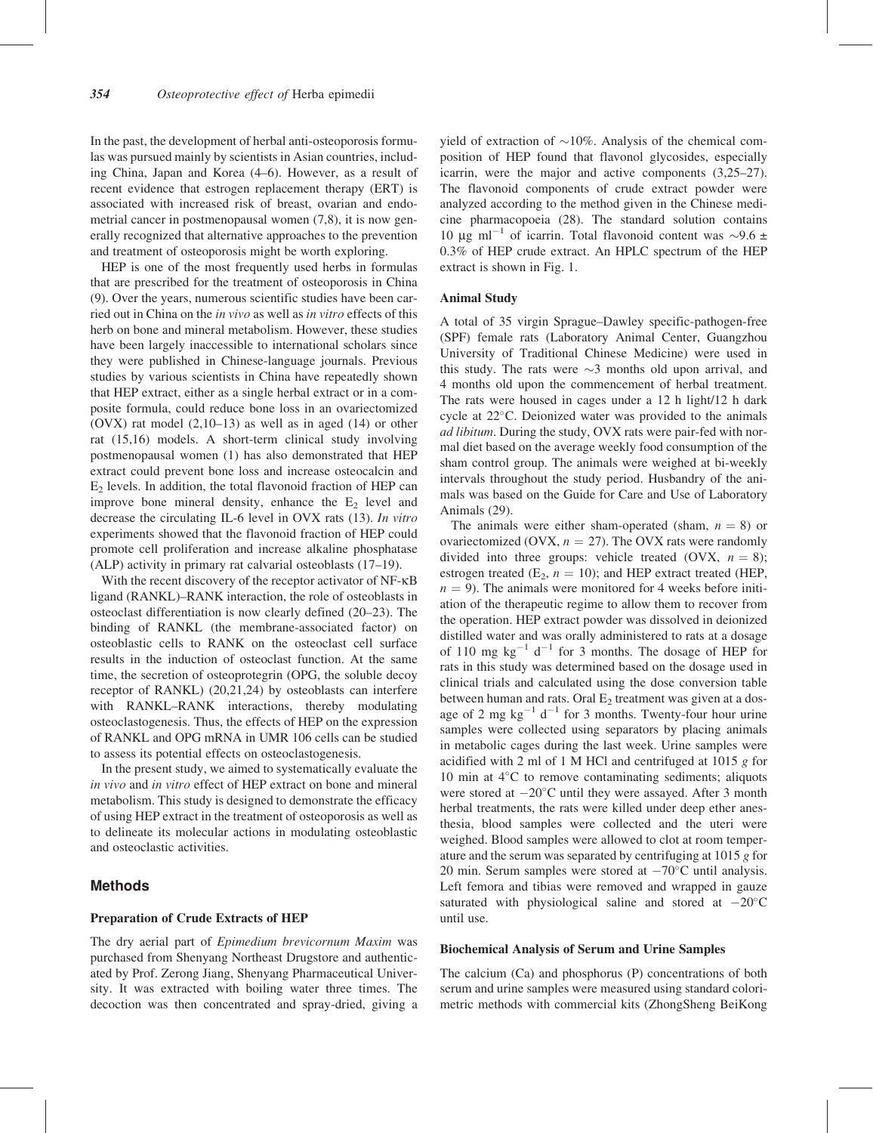In the past, the development of herbal anti-osteoporosis formulas was pursued mainly by scientists in Asian countries, including China, Japan and Korea (4–6). However, as a result of recent evidence that estrogen replacement therapy (ERT) is associated with increased risk of breast, ovarian and endometrial cancer in postmenopausal women (7,8), it is now generally recognized that alternative approaches to the prevention and treatment of osteoporosis might be worth exploring.

HEP is one of the most frequently used herbs in formulas that are prescribed for the treatment of osteoporosis in China (9). Over the years, numerous scientific studies have been carried out in China on the *in vivo* as well as *in vitro* effects of this herb on bone and mineral metabolism. However, these studies have been largely inaccessible to international scholars since they were published in Chinese-language journals. Previous studies by various scientists in China have repeatedly shown that HEP extract, either as a single herbal extract or in a composite formula, could reduce bone loss in an ovariectomized (OVX) rat model (2,10–13) as well as in aged (14) or other rat (15,16) models. A short-term clinical study involving postmenopausal women (1) has also demonstrated that HEP extract could prevent bone loss and increase osteocalcin and  $E<sub>2</sub>$  levels. In addition, the total flavonoid fraction of HEP can improve bone mineral density, enhance the  $E_2$  level and decrease the circulating IL-6 level in OVX rats (13). In vitro experiments showed that the flavonoid fraction of HEP could promote cell proliferation and increase alkaline phosphatase (ALP) activity in primary rat calvarial osteoblasts (17–19).

With the recent discovery of the receptor activator of NF- $\kappa$ B ligand (RANKL)–RANK interaction, the role of osteoblasts in osteoclast differentiation is now clearly defined (20–23). The binding of RANKL (the membrane-associated factor) on osteoblastic cells to RANK on the osteoclast cell surface results in the induction of osteoclast function. At the same time, the secretion of osteoprotegrin (OPG, the soluble decoy receptor of RANKL) (20,21,24) by osteoblasts can interfere with RANKL–RANK interactions, thereby modulating osteoclastogenesis. Thus, the effects of HEP on the expression of RANKL and OPG mRNA in UMR 106 cells can be studied to assess its potential effects on osteoclastogenesis.

In the present study, we aimed to systematically evaluate the in vivo and in vitro effect of HEP extract on bone and mineral metabolism. This study is designed to demonstrate the efficacy of using HEP extract in the treatment of osteoporosis as well as to delineate its molecular actions in modulating osteoblastic and osteoclastic activities.

## Methods

#### Preparation of Crude Extracts of HEP

The dry aerial part of Epimedium brevicornum Maxim was purchased from Shenyang Northeast Drugstore and authenticated by Prof. Zerong Jiang, Shenyang Pharmaceutical University. It was extracted with boiling water three times. The decoction was then concentrated and spray-dried, giving a yield of extraction of  $\sim$ 10%. Analysis of the chemical composition of HEP found that flavonol glycosides, especially icarrin, were the major and active components (3,25–27). The flavonoid components of crude extract powder were analyzed according to the method given in the Chinese medicine pharmacopoeia (28). The standard solution contains 10  $\mu$ g ml<sup>-1</sup> of icarrin. Total flavonoid content was ~9.6 ± 0.3% of HEP crude extract. An HPLC spectrum of the HEP extract is shown in Fig. 1.

#### Animal Study

A total of 35 virgin Sprague–Dawley specific-pathogen-free (SPF) female rats (Laboratory Animal Center, Guangzhou University of Traditional Chinese Medicine) were used in this study. The rats were  $\sim$ 3 months old upon arrival, and 4 months old upon the commencement of herbal treatment. The rats were housed in cages under a 12 h light/12 h dark cycle at  $22^{\circ}$ C. Deionized water was provided to the animals ad libitum. During the study, OVX rats were pair-fed with normal diet based on the average weekly food consumption of the sham control group. The animals were weighed at bi-weekly intervals throughout the study period. Husbandry of the animals was based on the Guide for Care and Use of Laboratory Animals (29).

The animals were either sham-operated (sham,  $n = 8$ ) or ovariectomized (OVX,  $n = 27$ ). The OVX rats were randomly divided into three groups: vehicle treated (OVX,  $n = 8$ ); estrogen treated ( $E_2$ ,  $n = 10$ ); and HEP extract treated (HEP,  $n = 9$ ). The animals were monitored for 4 weeks before initiation of the therapeutic regime to allow them to recover from the operation. HEP extract powder was dissolved in deionized distilled water and was orally administered to rats at a dosage of 110 mg  $kg^{-1}$  d<sup>-1</sup> for 3 months. The dosage of HEP for rats in this study was determined based on the dosage used in clinical trials and calculated using the dose conversion table between human and rats. Oral  $E_2$  treatment was given at a dosage of 2 mg  $kg^{-1}$  d<sup>-1</sup> for 3 months. Twenty-four hour urine samples were collected using separators by placing animals in metabolic cages during the last week. Urine samples were acidified with 2 ml of 1 M HCl and centrifuged at 1015 g for 10 min at  $4^{\circ}$ C to remove contaminating sediments; aliquots were stored at  $-20^{\circ}$ C until they were assayed. After 3 month herbal treatments, the rats were killed under deep ether anesthesia, blood samples were collected and the uteri were weighed. Blood samples were allowed to clot at room temperature and the serum was separated by centrifuging at 1015 g for 20 min. Serum samples were stored at  $-70^{\circ}$ C until analysis. Left femora and tibias were removed and wrapped in gauze saturated with physiological saline and stored at  $-20^{\circ}$ C until use.

#### Biochemical Analysis of Serum and Urine Samples

The calcium (Ca) and phosphorus (P) concentrations of both serum and urine samples were measured using standard colorimetric methods with commercial kits (ZhongSheng BeiKong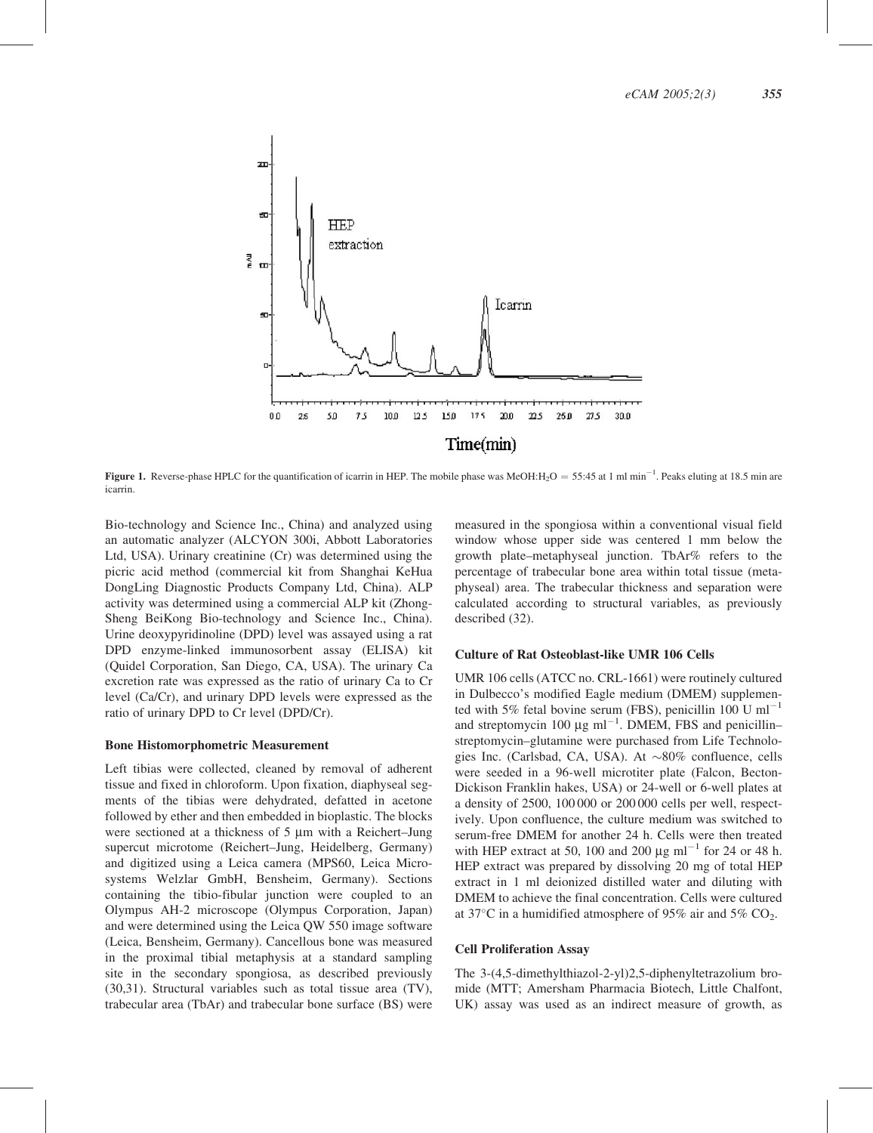

**Figure 1.** Reverse-phase HPLC for the quantification of icarrin in HEP. The mobile phase was MeOH: $H_2O = 55:45$  at 1 ml min<sup>-1</sup>. Peaks eluting at 18.5 min are icarrin.

Bio-technology and Science Inc., China) and analyzed using an automatic analyzer (ALCYON 300i, Abbott Laboratories Ltd, USA). Urinary creatinine (Cr) was determined using the picric acid method (commercial kit from Shanghai KeHua DongLing Diagnostic Products Company Ltd, China). ALP activity was determined using a commercial ALP kit (Zhong-Sheng BeiKong Bio-technology and Science Inc., China). Urine deoxypyridinoline (DPD) level was assayed using a rat DPD enzyme-linked immunosorbent assay (ELISA) kit (Quidel Corporation, San Diego, CA, USA). The urinary Ca excretion rate was expressed as the ratio of urinary Ca to Cr level (Ca/Cr), and urinary DPD levels were expressed as the ratio of urinary DPD to Cr level (DPD/Cr).

#### Bone Histomorphometric Measurement

Left tibias were collected, cleaned by removal of adherent tissue and fixed in chloroform. Upon fixation, diaphyseal segments of the tibias were dehydrated, defatted in acetone followed by ether and then embedded in bioplastic. The blocks were sectioned at a thickness of 5 µm with a Reichert–Jung supercut microtome (Reichert–Jung, Heidelberg, Germany) and digitized using a Leica camera (MPS60, Leica Microsystems Welzlar GmbH, Bensheim, Germany). Sections containing the tibio-fibular junction were coupled to an Olympus AH-2 microscope (Olympus Corporation, Japan) and were determined using the Leica QW 550 image software (Leica, Bensheim, Germany). Cancellous bone was measured in the proximal tibial metaphysis at a standard sampling site in the secondary spongiosa, as described previously (30,31). Structural variables such as total tissue area (TV), trabecular area (TbAr) and trabecular bone surface (BS) were

measured in the spongiosa within a conventional visual field window whose upper side was centered 1 mm below the growth plate–metaphyseal junction. TbAr% refers to the percentage of trabecular bone area within total tissue (metaphyseal) area. The trabecular thickness and separation were calculated according to structural variables, as previously described (32).

#### Culture of Rat Osteoblast-like UMR 106 Cells

UMR 106 cells (ATCC no. CRL-1661) were routinely cultured in Dulbecco's modified Eagle medium (DMEM) supplemented with 5% fetal bovine serum (FBS), penicillin 100 U ml<sup>-1</sup> and streptomycin 100  $\mu$ g ml<sup>-1</sup>. DMEM, FBS and penicillinstreptomycin–glutamine were purchased from Life Technologies Inc. (Carlsbad, CA, USA). At  $\sim80\%$  confluence, cells were seeded in a 96-well microtiter plate (Falcon, Becton-Dickison Franklin hakes, USA) or 24-well or 6-well plates at a density of 2500, 100 000 or 200 000 cells per well, respectively. Upon confluence, the culture medium was switched to serum-free DMEM for another 24 h. Cells were then treated with HEP extract at 50, 100 and 200  $\mu$ g ml<sup>-1</sup> for 24 or 48 h. HEP extract was prepared by dissolving 20 mg of total HEP extract in 1 ml deionized distilled water and diluting with DMEM to achieve the final concentration. Cells were cultured at 37 $\degree$ C in a humidified atmosphere of 95% air and 5% CO<sub>2</sub>.

#### Cell Proliferation Assay

The 3-(4,5-dimethylthiazol-2-yl)2,5-diphenyltetrazolium bromide (MTT; Amersham Pharmacia Biotech, Little Chalfont, UK) assay was used as an indirect measure of growth, as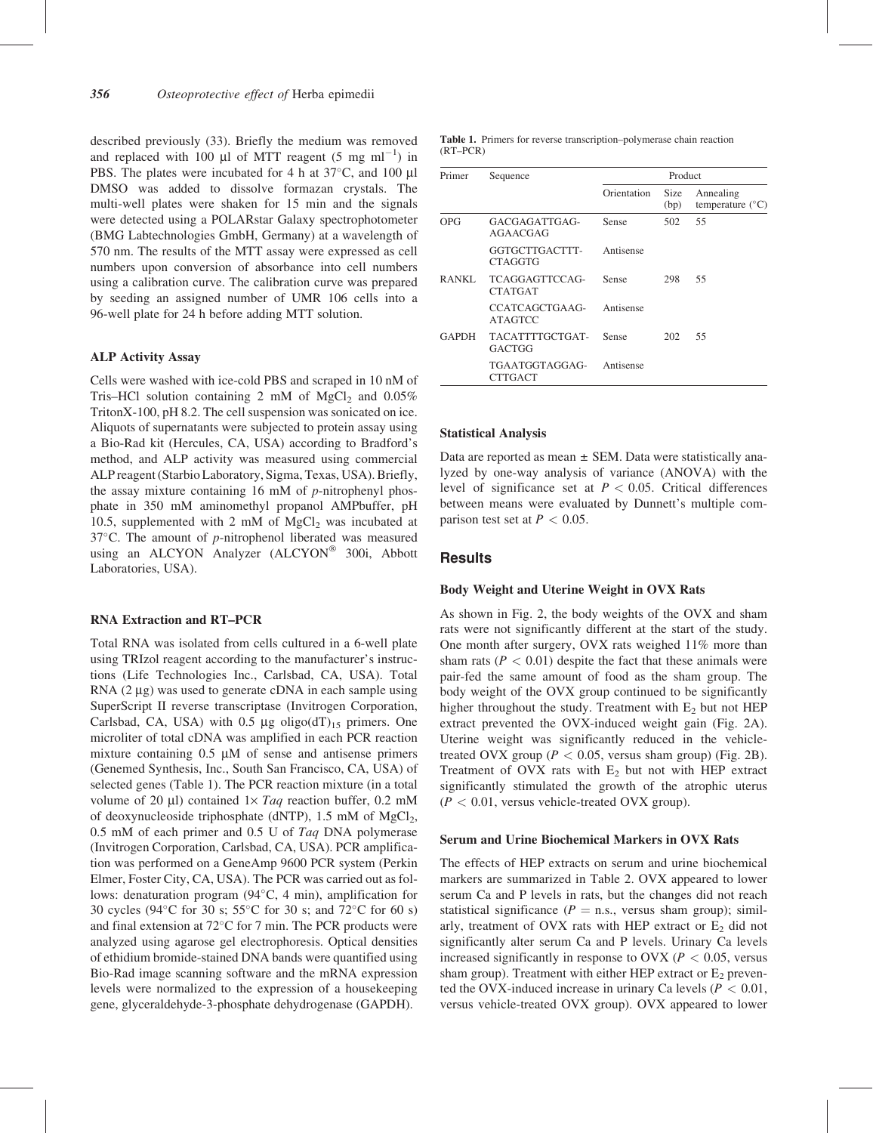described previously (33). Briefly the medium was removed and replaced with 100  $\mu$ l of MTT reagent (5 mg ml<sup>-1</sup>) in PBS. The plates were incubated for 4 h at  $37^{\circ}$ C, and 100 µl DMSO was added to dissolve formazan crystals. The multi-well plates were shaken for 15 min and the signals were detected using a POLARstar Galaxy spectrophotometer (BMG Labtechnologies GmbH, Germany) at a wavelength of 570 nm. The results of the MTT assay were expressed as cell numbers upon conversion of absorbance into cell numbers using a calibration curve. The calibration curve was prepared by seeding an assigned number of UMR 106 cells into a 96-well plate for 24 h before adding MTT solution.

#### ALP Activity Assay

Cells were washed with ice-cold PBS and scraped in 10 nM of Tris–HCl solution containing 2 mM of  $MgCl<sub>2</sub>$  and 0.05% TritonX-100, pH 8.2. The cell suspension was sonicated on ice. Aliquots of supernatants were subjected to protein assay using a Bio-Rad kit (Hercules, CA, USA) according to Bradford's method, and ALP activity was measured using commercial ALP reagent (Starbio Laboratory, Sigma, Texas, USA). Briefly, the assay mixture containing 16 mM of  $p$ -nitrophenyl phosphate in 350 mM aminomethyl propanol AMPbuffer, pH 10.5, supplemented with 2 mM of  $MgCl<sub>2</sub>$  was incubated at  $37^{\circ}$ C. The amount of *p*-nitrophenol liberated was measured using an ALCYON Analyzer (ALCYON<sup>®</sup> 300i, Abbott Laboratories, USA).

#### RNA Extraction and RT–PCR

Total RNA was isolated from cells cultured in a 6-well plate using TRIzol reagent according to the manufacturer's instructions (Life Technologies Inc., Carlsbad, CA, USA). Total RNA  $(2 \mu g)$  was used to generate cDNA in each sample using SuperScript II reverse transcriptase (Invitrogen Corporation, Carlsbad, CA, USA) with  $0.5 \mu g$  oligo(dT)<sub>15</sub> primers. One microliter of total cDNA was amplified in each PCR reaction mixture containing  $0.5 \mu M$  of sense and antisense primers (Genemed Synthesis, Inc., South San Francisco, CA, USA) of selected genes (Table 1). The PCR reaction mixture (in a total volume of 20  $\mu$ l) contained 1× Taq reaction buffer, 0.2 mM of deoxynucleoside triphosphate (dNTP),  $1.5 \text{ mM of } MgCl<sub>2</sub>$ , 0.5 mM of each primer and 0.5 U of Taq DNA polymerase (Invitrogen Corporation, Carlsbad, CA, USA). PCR amplification was performed on a GeneAmp 9600 PCR system (Perkin Elmer, Foster City, CA, USA). The PCR was carried out as follows: denaturation program  $(94^{\circ}C, 4 \text{ min})$ , amplification for 30 cycles (94 $\degree$ C for 30 s; 55 $\degree$ C for 30 s; and 72 $\degree$ C for 60 s) and final extension at  $72^{\circ}$ C for 7 min. The PCR products were analyzed using agarose gel electrophoresis. Optical densities of ethidium bromide-stained DNA bands were quantified using Bio-Rad image scanning software and the mRNA expression levels were normalized to the expression of a housekeeping gene, glyceraldehyde-3-phosphate dehydrogenase (GAPDH).

Table 1. Primers for reverse transcription–polymerase chain reaction (RT–PCR)

| Primer       | Sequence                         | Product     |              |                                        |  |
|--------------|----------------------------------|-------------|--------------|----------------------------------------|--|
|              |                                  | Orientation | Size<br>(bp) | Annealing<br>temperature $(^{\circ}C)$ |  |
| OPG          | GACGAGATTGAG-<br>AGAACGAG        | Sense       | 502          | 55                                     |  |
|              | GGTGCTTGACTTT-<br><b>CTAGGTG</b> | Antisense   |              |                                        |  |
| RANKL        | TCAGGAGTTCCAG-<br><b>CTATGAT</b> | Sense       | 298          | 55                                     |  |
|              | CCATCAGCTGAAG-<br><b>ATAGTCC</b> | Antisense   |              |                                        |  |
| <b>GAPDH</b> | TACATTTTGCTGAT-<br>GACTGG        | Sense       | 202          | 55                                     |  |
|              | TGAATGGTAGGAG-<br><b>CTTGACT</b> | Antisense   |              |                                        |  |

#### Statistical Analysis

Data are reported as mean  $\pm$  SEM. Data were statistically analyzed by one-way analysis of variance (ANOVA) with the level of significance set at  $P < 0.05$ . Critical differences between means were evaluated by Dunnett's multiple comparison test set at  $P < 0.05$ .

#### **Results**

#### Body Weight and Uterine Weight in OVX Rats

As shown in Fig. 2, the body weights of the OVX and sham rats were not significantly different at the start of the study. One month after surgery, OVX rats weighed 11% more than sham rats ( $P < 0.01$ ) despite the fact that these animals were pair-fed the same amount of food as the sham group. The body weight of the OVX group continued to be significantly higher throughout the study. Treatment with  $E_2$  but not HEP extract prevented the OVX-induced weight gain (Fig. 2A). Uterine weight was significantly reduced in the vehicletreated OVX group ( $P < 0.05$ , versus sham group) (Fig. 2B). Treatment of OVX rats with  $E_2$  but not with HEP extract significantly stimulated the growth of the atrophic uterus  $(P < 0.01$ , versus vehicle-treated OVX group).

#### Serum and Urine Biochemical Markers in OVX Rats

The effects of HEP extracts on serum and urine biochemical markers are summarized in Table 2. OVX appeared to lower serum Ca and P levels in rats, but the changes did not reach statistical significance ( $P =$  n.s., versus sham group); similarly, treatment of OVX rats with HEP extract or  $E<sub>2</sub>$  did not significantly alter serum Ca and P levels. Urinary Ca levels increased significantly in response to OVX ( $P < 0.05$ , versus sham group). Treatment with either HEP extract or  $E_2$  prevented the OVX-induced increase in urinary Ca levels ( $P < 0.01$ , versus vehicle-treated OVX group). OVX appeared to lower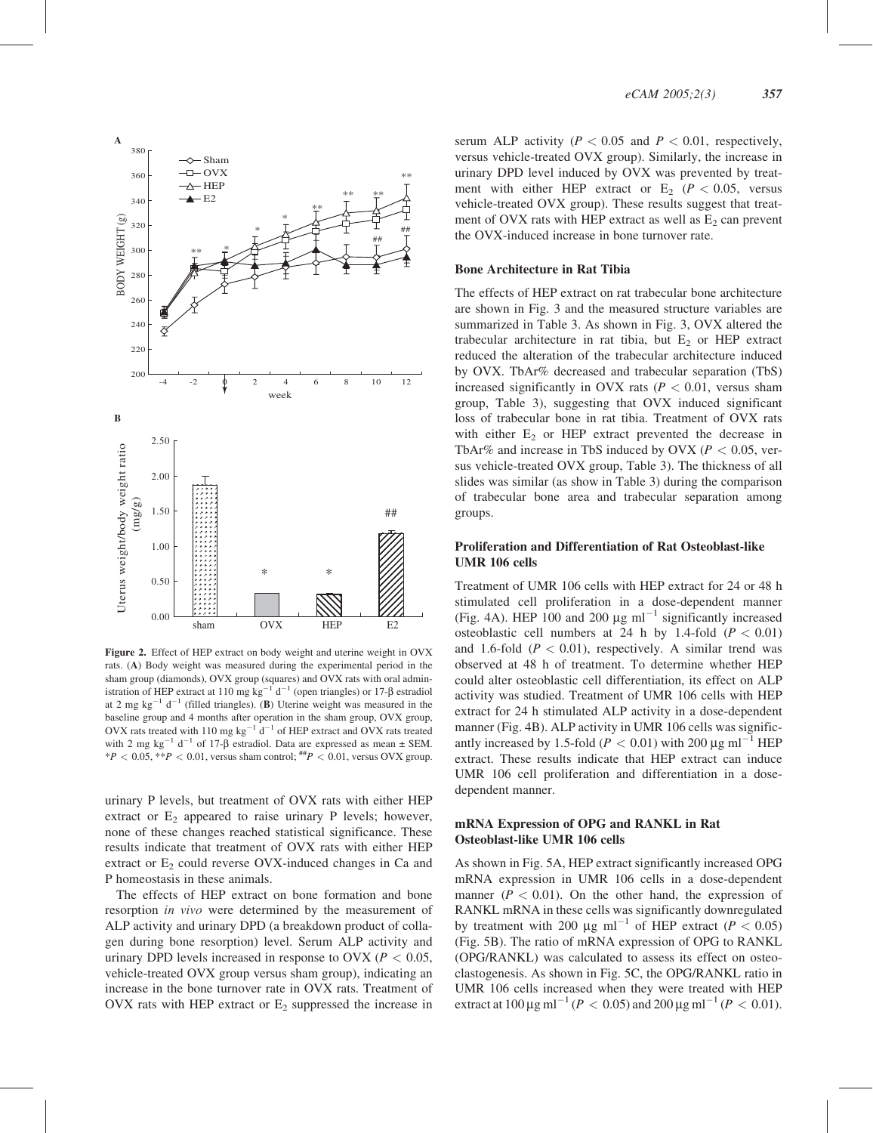

Figure 2. Effect of HEP extract on body weight and uterine weight in OVX rats. (A) Body weight was measured during the experimental period in the sham group (diamonds), OVX group (squares) and OVX rats with oral administration of HEP extract at 110 mg kg<sup>-1</sup> d<sup>-1</sup> (open triangles) or 17- $\beta$  estradiol at 2 mg kg<sup>-1</sup> d<sup>-1</sup> (filled triangles). (**B**) Uterine weight was measured in the baseline group and 4 months after operation in the sham group, OVX group, OVX rats treated with 110 mg kg<sup>-1</sup>  $d^{-1}$  of HEP extract and OVX rats treated with 2 mg kg<sup>-1</sup> d<sup>-1</sup> of 17- $\beta$  estradiol. Data are expressed as mean  $\pm$  SEM.  $*P < 0.05$ ,  $*P < 0.01$ , versus sham control;  $#P < 0.01$ , versus OVX group.

urinary P levels, but treatment of OVX rats with either HEP extract or  $E_2$  appeared to raise urinary P levels; however, none of these changes reached statistical significance. These results indicate that treatment of OVX rats with either HEP extract or  $E_2$  could reverse OVX-induced changes in Ca and P homeostasis in these animals.

The effects of HEP extract on bone formation and bone resorption in vivo were determined by the measurement of ALP activity and urinary DPD (a breakdown product of collagen during bone resorption) level. Serum ALP activity and urinary DPD levels increased in response to OVX ( $P < 0.05$ , vehicle-treated OVX group versus sham group), indicating an increase in the bone turnover rate in OVX rats. Treatment of OVX rats with HEP extract or  $E_2$  suppressed the increase in serum ALP activity ( $P < 0.05$  and  $P < 0.01$ , respectively, versus vehicle-treated OVX group). Similarly, the increase in urinary DPD level induced by OVX was prevented by treatment with either HEP extract or  $E_2$  ( $P < 0.05$ , versus vehicle-treated OVX group). These results suggest that treatment of OVX rats with HEP extract as well as  $E_2$  can prevent the OVX-induced increase in bone turnover rate.

#### Bone Architecture in Rat Tibia

The effects of HEP extract on rat trabecular bone architecture are shown in Fig. 3 and the measured structure variables are summarized in Table 3. As shown in Fig. 3, OVX altered the trabecular architecture in rat tibia, but  $E_2$  or HEP extract reduced the alteration of the trabecular architecture induced by OVX. TbAr% decreased and trabecular separation (TbS) increased significantly in OVX rats ( $P < 0.01$ , versus sham group, Table 3), suggesting that OVX induced significant loss of trabecular bone in rat tibia. Treatment of OVX rats with either  $E_2$  or HEP extract prevented the decrease in TbAr% and increase in TbS induced by OVX ( $P < 0.05$ , versus vehicle-treated OVX group, Table 3). The thickness of all slides was similar (as show in Table 3) during the comparison of trabecular bone area and trabecular separation among groups.

#### Proliferation and Differentiation of Rat Osteoblast-like UMR 106 cells

Treatment of UMR 106 cells with HEP extract for 24 or 48 h stimulated cell proliferation in a dose-dependent manner (Fig. 4A). HEP 100 and 200  $\mu$ g ml<sup>-1</sup> significantly increased osteoblastic cell numbers at 24 h by 1.4-fold  $(P < 0.01)$ and 1.6-fold ( $P < 0.01$ ), respectively. A similar trend was observed at 48 h of treatment. To determine whether HEP could alter osteoblastic cell differentiation, its effect on ALP activity was studied. Treatment of UMR 106 cells with HEP extract for 24 h stimulated ALP activity in a dose-dependent manner (Fig. 4B). ALP activity in UMR 106 cells was significantly increased by 1.5-fold ( $P < 0.01$ ) with 200  $\mu$ g ml<sup>-1</sup> HEP extract. These results indicate that HEP extract can induce UMR 106 cell proliferation and differentiation in a dosedependent manner.

#### mRNA Expression of OPG and RANKL in Rat Osteoblast-like UMR 106 cells

As shown in Fig. 5A, HEP extract significantly increased OPG mRNA expression in UMR 106 cells in a dose-dependent manner ( $P < 0.01$ ). On the other hand, the expression of RANKL mRNA in these cells was significantly downregulated by treatment with 200  $\mu$ g ml<sup>-1</sup> of HEP extract (P < 0.05) (Fig. 5B). The ratio of mRNA expression of OPG to RANKL (OPG/RANKL) was calculated to assess its effect on osteoclastogenesis. As shown in Fig. 5C, the OPG/RANKL ratio in UMR 106 cells increased when they were treated with HEP extract at  $100 \,\mu\text{g m}^{-1}$  ( $P < 0.05$ ) and  $200 \,\mu\text{g m}^{-1}$  ( $P < 0.01$ ).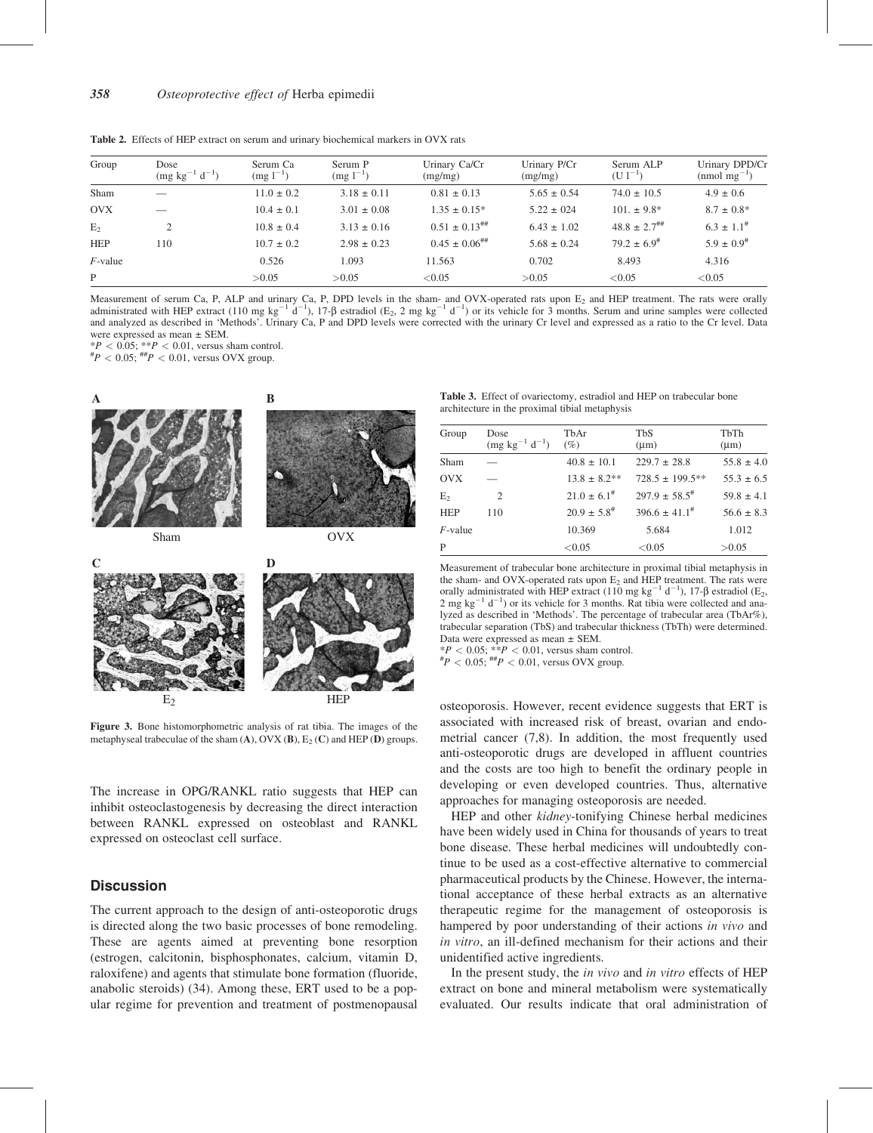Table 2. Effects of HEP extract on serum and urinary biochemical markers in OVX rats

| Group          | Dose<br>$(mg kg^{-1} d^{-1})$ | Serum Ca<br>$(mg 1^{-1})$ | Serum P<br>$(mg 1^{-1})$ | Urinary Ca/Cr<br>(mg/mg) | Urinary P/Cr<br>(mg/mg) | Serum ALP<br>$(U1^{-1})$     | Urinary DPD/Cr<br>$(mmol \text{ mg}^{-1})$ |
|----------------|-------------------------------|---------------------------|--------------------------|--------------------------|-------------------------|------------------------------|--------------------------------------------|
| Sham           |                               | $11.0 \pm 0.2$            | $3.18 \pm 0.11$          | $0.81 \pm 0.13$          | $5.65 \pm 0.54$         | $74.0 \pm 10.5$              | $4.9 \pm 0.6$                              |
| <b>OVX</b>     |                               | $10.4 \pm 0.1$            | $3.01 \pm 0.08$          | $1.35 \pm 0.15^*$        | $5.22 \pm 0.24$         | $101. \pm 9.8^*$             | $8.7 \pm 0.8^*$                            |
| E <sub>2</sub> | 2                             | $10.8 \pm 0.4$            | $3.13 \pm 0.16$          | $0.51 \pm 0.13^{+}$      | $6.43 \pm 1.02$         | $48.8 \pm 2.7$ <sup>##</sup> | $6.3 \pm 1.1^{\#}$                         |
| <b>HEP</b>     | 110                           | $10.7 \pm 0.2$            | $2.98 \pm 0.23$          | $0.45 \pm 0.06^{+}$      | $5.68 \pm 0.24$         | $79.2 \pm 6.9^{\#}$          | $5.9 \pm 0.9$ <sup>#</sup>                 |
| $F$ -value     |                               | 0.526                     | 1.093                    | 11.563                   | 0.702                   | 8.493                        | 4.316                                      |
| P              |                               | >0.05                     | >0.05                    | < 0.05                   | >0.05                   | < 0.05                       | < 0.05                                     |

Measurement of serum Ca, P, ALP and urinary Ca, P, DPD levels in the sham- and OVX-operated rats upon  $E_2$  and HEP treatment. The rats were orally administrated with HEP extract (110 mg kg<sup>-1</sup> d<sup>-1</sup>), 17- $\beta$  estradiol (E<sub>2</sub>, 2 mg kg<sup>-1</sup> d<sup>-1</sup>) or its vehicle for 3 months. Serum and urine samples were collected and analyzed as described in 'Methods'. Urinary Ca, P and DPD levels were corrected with the urinary Cr level and expressed as a ratio to the Cr level. Data were expressed as mean ± SEM.

 $*P < 0.05$ ;  $*P < 0.01$ , versus sham control.

 ${}^{#}P$  < 0.05;  ${}^{##}P$  < 0.01, versus OVX group.



Figure 3. Bone histomorphometric analysis of rat tibia. The images of the metaphyseal trabeculae of the sham  $(A)$ , OVX  $(B)$ ,  $E_2(C)$  and HEP  $(D)$  groups.

The increase in OPG/RANKL ratio suggests that HEP can inhibit osteoclastogenesis by decreasing the direct interaction between RANKL expressed on osteoblast and RANKL expressed on osteoclast cell surface.

### **Discussion**

The current approach to the design of anti-osteoporotic drugs is directed along the two basic processes of bone remodeling. These are agents aimed at preventing bone resorption (estrogen, calcitonin, bisphosphonates, calcium, vitamin D, raloxifene) and agents that stimulate bone formation (fluoride, anabolic steroids) (34). Among these, ERT used to be a popular regime for prevention and treatment of postmenopausal

| <b>Table 3.</b> Effect of ovariectomy, estradiol and HEP on trabecular bone |  |  |  |
|-----------------------------------------------------------------------------|--|--|--|
| architecture in the proximal tibial metaphysis                              |  |  |  |

| Group      | Dose                  | TbAr                | <b>TbS</b>            | TbTh           |
|------------|-----------------------|---------------------|-----------------------|----------------|
|            | $(mg kg^{-1} d^{-1})$ | $(\%)$              | $(\mu m)$             | $(\mu m)$      |
| Sham       |                       | $40.8 \pm 10.1$     | $229.7 \pm 28.8$      | $55.8 \pm 4.0$ |
| <b>OVX</b> |                       | $13.8 \pm 8.2**$    | $728.5 \pm 199.5***$  | $55.3 \pm 6.5$ |
| $E_{2}$    | 2                     | $21.0 \pm 6.1^{\#}$ | $297.9 \pm 58.5^{\#}$ | $59.8 \pm 4.1$ |
| <b>HEP</b> | 110                   | $20.9 \pm 5.8^{\#}$ | $396.6 \pm 41.1^{\#}$ | $56.6 \pm 8.3$ |
| $F$ -value |                       | 10.369              | 5.684                 | 1.012          |
| P          |                       | < 0.05              | < 0.05                | >0.05          |
|            |                       |                     |                       |                |

Measurement of trabecular bone architecture in proximal tibial metaphysis in the sham- and OVX-operated rats upon  $E_2$  and HEP treatment. The rats were orally administrated with HEP extract (110 mg kg<sup>-1</sup> d<sup>-1</sup>), 17- $\beta$  estradiol (E<sub>2</sub>,  $2 \text{ mg} \text{ kg}^{-1} \text{ d}^{-1}$ ) or its vehicle for 3 months. Rat tibia were collected and analyzed as described in 'Methods'. The percentage of trabecular area (TbAr%), trabecular separation (TbS) and trabecular thickness (TbTh) were determined. Data were expressed as mean ± SEM.

 $*P < 0.05$ ;  $*P < 0.01$ , versus sham control.<br>  $*P < 0.05$ ;  $*P < 0.01$ , versus OVX group.

osteoporosis. However, recent evidence suggests that ERT is associated with increased risk of breast, ovarian and endometrial cancer (7,8). In addition, the most frequently used anti-osteoporotic drugs are developed in affluent countries and the costs are too high to benefit the ordinary people in developing or even developed countries. Thus, alternative approaches for managing osteoporosis are needed.

HEP and other kidney-tonifying Chinese herbal medicines have been widely used in China for thousands of years to treat bone disease. These herbal medicines will undoubtedly continue to be used as a cost-effective alternative to commercial pharmaceutical products by the Chinese. However, the international acceptance of these herbal extracts as an alternative therapeutic regime for the management of osteoporosis is hampered by poor understanding of their actions in vivo and in vitro, an ill-defined mechanism for their actions and their unidentified active ingredients.

In the present study, the in vivo and in vitro effects of HEP extract on bone and mineral metabolism were systematically evaluated. Our results indicate that oral administration of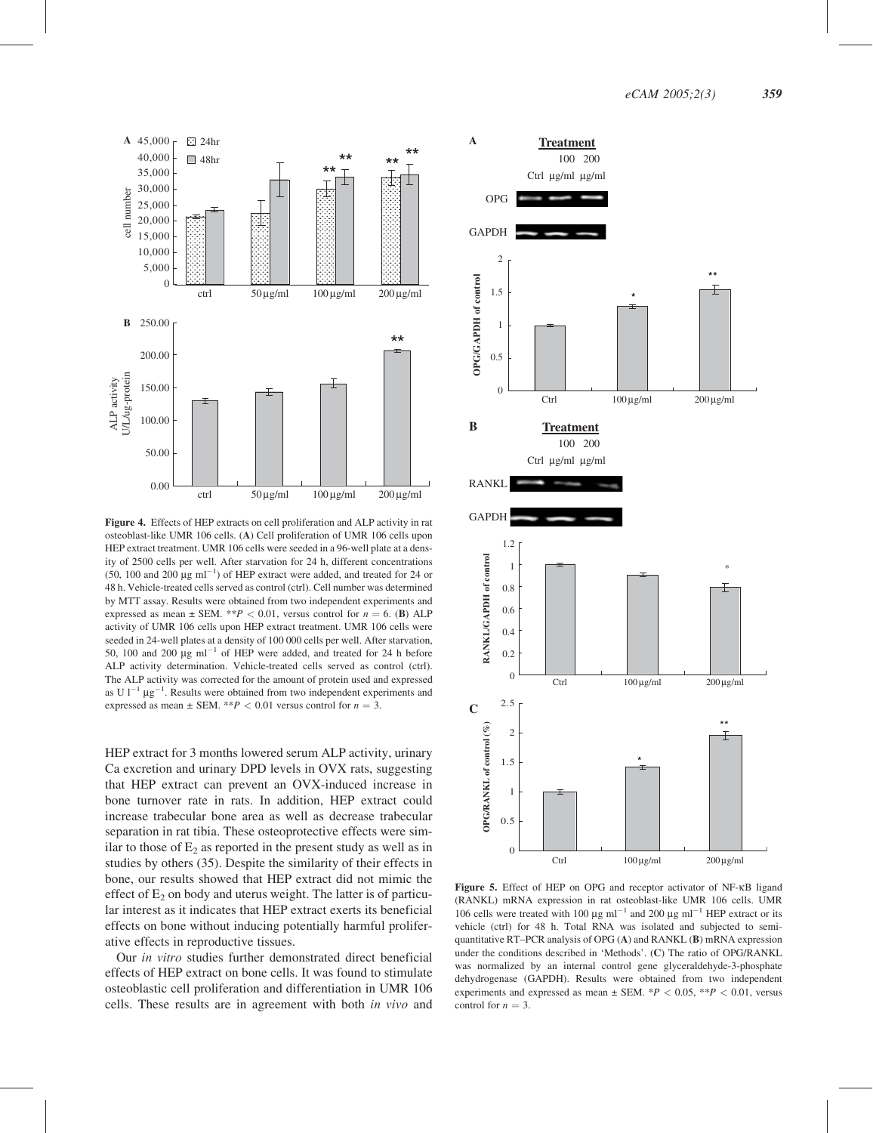

Figure 4. Effects of HEP extracts on cell proliferation and ALP activity in rat osteoblast-like UMR 106 cells. (A) Cell proliferation of UMR 106 cells upon HEP extract treatment. UMR 106 cells were seeded in a 96-well plate at a density of 2500 cells per well. After starvation for 24 h, different concentrations (50, 100 and 200  $\mu$ g ml<sup>-1</sup>) of HEP extract were added, and treated for 24 or 48 h. Vehicle-treated cells served as control (ctrl). Cell number was determined by MTT assay. Results were obtained from two independent experiments and expressed as mean  $\pm$  SEM. \*\*P < 0.01, versus control for  $n = 6$ . (B) ALP activity of UMR 106 cells upon HEP extract treatment. UMR 106 cells were seeded in 24-well plates at a density of 100 000 cells per well. After starvation, 50, 100 and 200  $\mu$ g ml<sup>-1</sup> of HEP were added, and treated for 24 h before ALP activity determination. Vehicle-treated cells served as control (ctrl). The ALP activity was corrected for the amount of protein used and expressed as U  $1^{-1}$   $\mu$ g<sup>-1</sup>. Results were obtained from two independent experiments and expressed as mean  $\pm$  SEM. \*\*P  $< 0.01$  versus control for  $n = 3$ .

HEP extract for 3 months lowered serum ALP activity, urinary Ca excretion and urinary DPD levels in OVX rats, suggesting that HEP extract can prevent an OVX-induced increase in bone turnover rate in rats. In addition, HEP extract could increase trabecular bone area as well as decrease trabecular separation in rat tibia. These osteoprotective effects were similar to those of  $E_2$  as reported in the present study as well as in studies by others (35). Despite the similarity of their effects in bone, our results showed that HEP extract did not mimic the effect of  $E_2$  on body and uterus weight. The latter is of particular interest as it indicates that HEP extract exerts its beneficial effects on bone without inducing potentially harmful proliferative effects in reproductive tissues.

Our in vitro studies further demonstrated direct beneficial effects of HEP extract on bone cells. It was found to stimulate osteoblastic cell proliferation and differentiation in UMR 106 cells. These results are in agreement with both in vivo and



Figure 5. Effect of HEP on OPG and receptor activator of NF-kB ligand (RANKL) mRNA expression in rat osteoblast-like UMR 106 cells. UMR 106 cells were treated with 100  $\mu$ g ml<sup>-1</sup> and 200  $\mu$ g ml<sup>-1</sup> HEP extract or its vehicle (ctrl) for 48 h. Total RNA was isolated and subjected to semiquantitative RT–PCR analysis of OPG (A) and RANKL (B) mRNA expression under the conditions described in 'Methods'. (C) The ratio of OPG/RANKL was normalized by an internal control gene glyceraldehyde-3-phosphate dehydrogenase (GAPDH). Results were obtained from two independent experiments and expressed as mean  $\pm$  SEM. \*P < 0.05, \*\*P < 0.01, versus control for  $n = 3$ .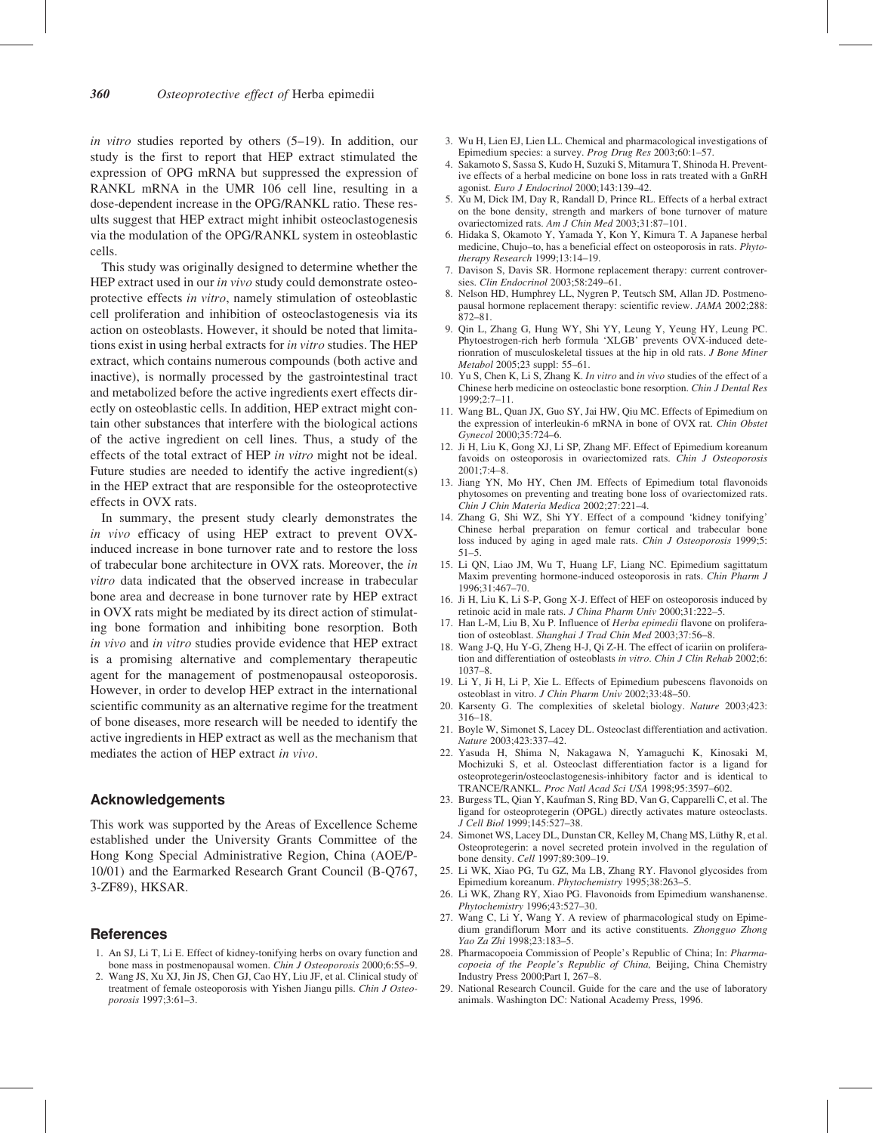in vitro studies reported by others (5–19). In addition, our study is the first to report that HEP extract stimulated the expression of OPG mRNA but suppressed the expression of RANKL mRNA in the UMR 106 cell line, resulting in a dose-dependent increase in the OPG/RANKL ratio. These results suggest that HEP extract might inhibit osteoclastogenesis via the modulation of the OPG/RANKL system in osteoblastic cells.

This study was originally designed to determine whether the HEP extract used in our *in vivo* study could demonstrate osteoprotective effects in vitro, namely stimulation of osteoblastic cell proliferation and inhibition of osteoclastogenesis via its action on osteoblasts. However, it should be noted that limitations exist in using herbal extracts for in vitro studies. The HEP extract, which contains numerous compounds (both active and inactive), is normally processed by the gastrointestinal tract and metabolized before the active ingredients exert effects directly on osteoblastic cells. In addition, HEP extract might contain other substances that interfere with the biological actions of the active ingredient on cell lines. Thus, a study of the effects of the total extract of HEP in vitro might not be ideal. Future studies are needed to identify the active ingredient(s) in the HEP extract that are responsible for the osteoprotective effects in OVX rats.

In summary, the present study clearly demonstrates the in vivo efficacy of using HEP extract to prevent OVXinduced increase in bone turnover rate and to restore the loss of trabecular bone architecture in OVX rats. Moreover, the in vitro data indicated that the observed increase in trabecular bone area and decrease in bone turnover rate by HEP extract in OVX rats might be mediated by its direct action of stimulating bone formation and inhibiting bone resorption. Both in vivo and in vitro studies provide evidence that HEP extract is a promising alternative and complementary therapeutic agent for the management of postmenopausal osteoporosis. However, in order to develop HEP extract in the international scientific community as an alternative regime for the treatment of bone diseases, more research will be needed to identify the active ingredients in HEP extract as well as the mechanism that mediates the action of HEP extract in vivo.

#### Acknowledgements

This work was supported by the Areas of Excellence Scheme established under the University Grants Committee of the Hong Kong Special Administrative Region, China (AOE/P-10/01) and the Earmarked Research Grant Council (B-Q767, 3-ZF89), HKSAR.

#### References

- 1. An SJ, Li T, Li E. Effect of kidney-tonifying herbs on ovary function and bone mass in postmenopausal women. Chin J Osteoporosis 2000;6:55–9.
- 2. Wang JS, Xu XJ, Jin JS, Chen GJ, Cao HY, Liu JF, et al. Clinical study of treatment of female osteoporosis with Yishen Jiangu pills. Chin J Osteoporosis 1997;3:61–3.
- 3. Wu H, Lien EJ, Lien LL. Chemical and pharmacological investigations of Epimedium species: a survey. Prog Drug Res 2003;60:1–57.
- 4. Sakamoto S, Sassa S, Kudo H, Suzuki S, Mitamura T, Shinoda H. Preventive effects of a herbal medicine on bone loss in rats treated with a GnRH agonist. Euro J Endocrinol 2000;143:139–42.
- 5. Xu M, Dick IM, Day R, Randall D, Prince RL. Effects of a herbal extract on the bone density, strength and markers of bone turnover of mature ovariectomized rats. Am J Chin Med 2003;31:87–101.
- 6. Hidaka S, Okamoto Y, Yamada Y, Kon Y, Kimura T. A Japanese herbal medicine, Chujo–to, has a beneficial effect on osteoporosis in rats. Phytotherapy Research 1999;13:14–19.
- 7. Davison S, Davis SR. Hormone replacement therapy: current controversies. Clin Endocrinol 2003;58:249–61.
- 8. Nelson HD, Humphrey LL, Nygren P, Teutsch SM, Allan JD. Postmenopausal hormone replacement therapy: scientific review. JAMA 2002;288: 872–81.
- 9. Qin L, Zhang G, Hung WY, Shi YY, Leung Y, Yeung HY, Leung PC. Phytoestrogen-rich herb formula 'XLGB' prevents OVX-induced deterionration of musculoskeletal tissues at the hip in old rats. J Bone Miner Metabol 2005;23 suppl: 55–61.
- 10. Yu S, Chen K, Li S, Zhang K. In vitro and in vivo studies of the effect of a Chinese herb medicine on osteoclastic bone resorption. Chin J Dental Res 1999;2:7–11.
- 11. Wang BL, Quan JX, Guo SY, Jai HW, Qiu MC. Effects of Epimedium on the expression of interleukin-6 mRNA in bone of OVX rat. Chin Obstet Gynecol 2000;35:724–6.
- 12. Ji H, Liu K, Gong XJ, Li SP, Zhang MF. Effect of Epimedium koreanum favoids on osteoporosis in ovariectomized rats. Chin J Osteoporosis  $2001:7:4-8$
- 13. Jiang YN, Mo HY, Chen JM. Effects of Epimedium total flavonoids phytosomes on preventing and treating bone loss of ovariectomized rats. Chin J Chin Materia Medica 2002;27:221–4.
- 14. Zhang G, Shi WZ, Shi YY. Effect of a compound 'kidney tonifying' Chinese herbal preparation on femur cortical and trabecular bone loss induced by aging in aged male rats. Chin J Osteoporosis 1999;5: 51–5.
- 15. Li QN, Liao JM, Wu T, Huang LF, Liang NC. Epimedium sagittatum Maxim preventing hormone-induced osteoporosis in rats. Chin Pharm J 1996;31:467–70.
- 16. Ji H, Liu K, Li S-P, Gong X-J. Effect of HEF on osteoporosis induced by retinoic acid in male rats. J China Pharm Univ 2000;31:222–5.
- 17. Han L-M, Liu B, Xu P. Influence of Herba epimedii flavone on proliferation of osteoblast. Shanghai J Trad Chin Med 2003;37:56-8.
- 18. Wang J-Q, Hu Y-G, Zheng H-J, Qi Z-H. The effect of icariin on proliferation and differentiation of osteoblasts in vitro. Chin J Clin Rehab 2002;6: 1037–8.
- 19. Li Y, Ji H, Li P, Xie L. Effects of Epimedium pubescens flavonoids on osteoblast in vitro. J Chin Pharm Univ 2002;33:48–50.
- 20. Karsenty G. The complexities of skeletal biology. Nature 2003;423: 316–18.
- 21. Boyle W, Simonet S, Lacey DL. Osteoclast differentiation and activation. Nature 2003;423:337–42.
- 22. Yasuda H, Shima N, Nakagawa N, Yamaguchi K, Kinosaki M, Mochizuki S, et al. Osteoclast differentiation factor is a ligand for osteoprotegerin/osteoclastogenesis-inhibitory factor and is identical to TRANCE/RANKL. Proc Natl Acad Sci USA 1998;95:3597–602.
- 23. Burgess TL, Qian Y, Kaufman S, Ring BD, Van G, Capparelli C, et al. The ligand for osteoprotegerin (OPGL) directly activates mature osteoclasts. J Cell Biol 1999;145:527–38.
- 24. Simonet WS, Lacey DL, Dunstan CR, Kelley M, Chang MS, Lüthy R, et al. Osteoprotegerin: a novel secreted protein involved in the regulation of bone density. Cell 1997;89:309–19.
- 25. Li WK, Xiao PG, Tu GZ, Ma LB, Zhang RY. Flavonol glycosides from Epimedium koreanum. Phytochemistry 1995;38:263–5.
- 26. Li WK, Zhang RY, Xiao PG. Flavonoids from Epimedium wanshanense. Phytochemistry 1996;43:527–30.
- 27. Wang C, Li Y, Wang Y. A review of pharmacological study on Epimedium grandiflorum Morr and its active constituents. Zhongguo Zhong Yao Za Zhi 1998;23:183–5.
- 28. Pharmacopoeia Commission of People's Republic of China; In: Pharmacopoeia of the People's Republic of China, Beijing, China Chemistry Industry Press 2000;Part I, 267–8.
- 29. National Research Council. Guide for the care and the use of laboratory animals. Washington DC: National Academy Press, 1996.